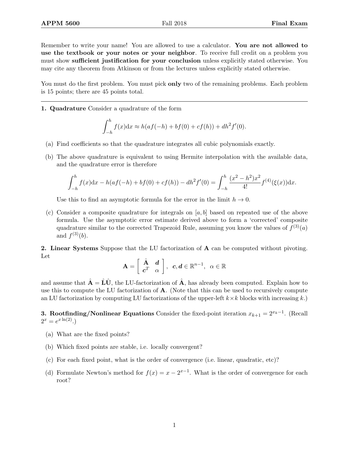Remember to write your name! You are allowed to use a calculator. You are not allowed to use the textbook or your notes or your neighbor. To receive full credit on a problem you must show sufficient justification for your conclusion unless explicitly stated otherwise. You may cite any theorem from Atkinson or from the lectures unless explicitly stated otherwise.

You must do the first problem. You must pick **only** two of the remaining problems. Each problem is 15 points; there are 45 points total.

1. Quadrature Consider a quadrature of the form

$$
\int_{-h}^{h} f(x) dx \approx h(af(-h) + bf(0) + cf(h)) + dh^{2}f'(0).
$$

- (a) Find coefficients so that the quadrature integrates all cubic polynomials exactly.
- (b) The above quadrature is equivalent to using Hermite interpolation with the available data, and the quadrature error is therefore

$$
\int_{-h}^{h} f(x)dx - h(af(-h) + bf(0) + cf(h)) - dh^{2}f'(0) = \int_{-h}^{h} \frac{(x^{2} - h^{2})x^{2}}{4!} f^{(4)}(\xi(x))dx.
$$

Use this to find an asymptotic formula for the error in the limit  $h \to 0$ .

(c) Consider a composite quadrature for integrals on  $[a, b]$  based on repeated use of the above formula. Use the asymptotic error estimate derived above to form a 'corrected' composite quadrature similar to the corrected Trapezoid Rule, assuming you know the values of  $f^{(3)}(a)$ and  $f^{(3)}(b)$ .

2. Linear Systems Suppose that the LU factorization of A can be computed without pivoting. Let

$$
\mathbf{A} = \left[ \begin{array}{cc} \hat{\mathbf{A}} & \mathbf{d} \\ \mathbf{c}^T & \alpha \end{array} \right], \ \ \mathbf{c}, \mathbf{d} \in \mathbb{R}^{n-1}, \ \ \alpha \in \mathbb{R}
$$

and assume that  $\hat{\mathbf{A}} = \hat{\mathbf{L}} \hat{\mathbf{U}}$ , the LU-factorization of  $\hat{\mathbf{A}}$ , has already been computed. Explain how to use this to compute the LU factorization of A. (Note that this can be used to recursively compute an LU factorization by computing LU factorizations of the upper-left  $k \times k$  blocks with increasing k.)

**3. Rootfinding/Nonlinear Equations** Consider the fixed-point iteration  $x_{k+1} = 2^{x_k-1}$ . (Recall  $2^x = e^{x \ln(2)}$ .

- (a) What are the fixed points?
- (b) Which fixed points are stable, i.e. locally convergent?
- (c) For each fixed point, what is the order of convergence (i.e. linear, quadratic, etc)?
- (d) Formulate Newton's method for  $f(x) = x 2^{x-1}$ . What is the order of convergence for each root?